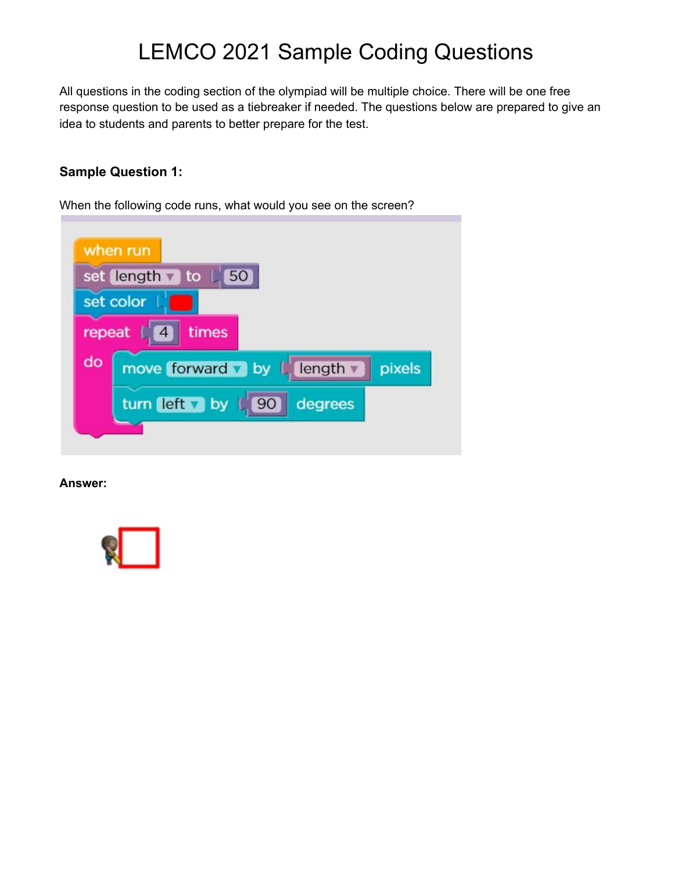# LEMCO 2021 Sample Coding Questions

All questions in the coding section of the olympiad will be multiple choice. There will be one free response question to be used as a tiebreaker if needed. The questions below are prepared to give an idea to students and parents to better prepare for the test.

# **Sample Question 1:**

When the following code runs, what would you see on the screen?

|        | when run                           |
|--------|------------------------------------|
|        | set length to 150                  |
|        | set color                          |
| repeat | times                              |
| do     | move forward by L length<br>pixels |
|        | turn left by L<br>90<br>degrees    |
|        |                                    |

**Answer:**

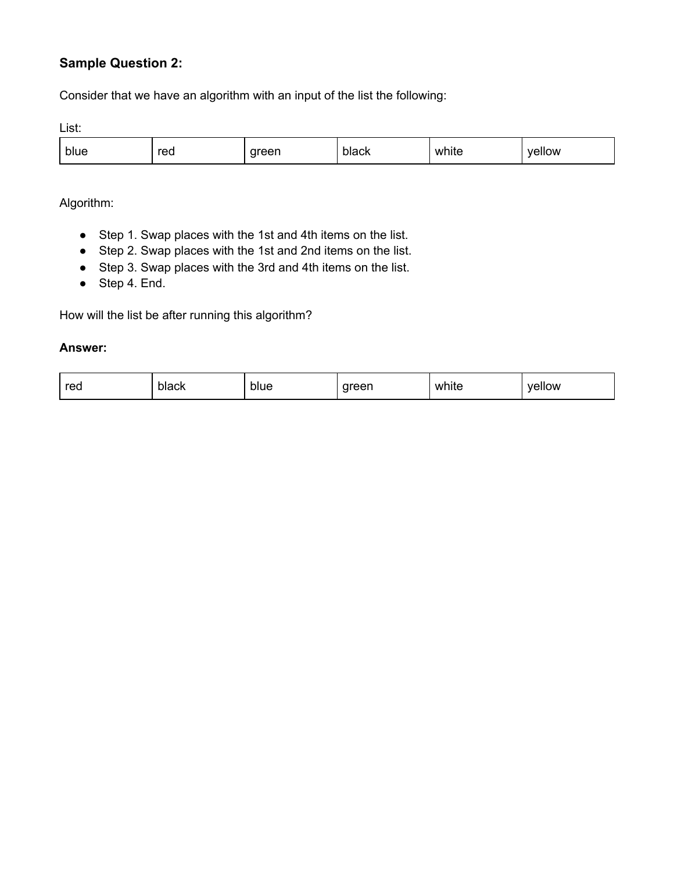# **Sample Question 2:**

Consider that we have an algorithm with an input of the list the following:

List:

| blue | red | areer | بامط<br>black | white<br>__ | wolls<br>.<br>. |
|------|-----|-------|---------------|-------------|-----------------|
|------|-----|-------|---------------|-------------|-----------------|

Algorithm:

- Step 1. Swap places with the 1st and 4th items on the list.
- Step 2. Swap places with the 1st and 2nd items on the list.
- Step 3. Swap places with the 3rd and 4th items on the list.
- $\bullet$  Step 4. End.

How will the list be after running this algorithm?

#### **Answer:**

| red<br>blue<br>black | areen<br>$\sim$ | white | vellow |
|----------------------|-----------------|-------|--------|
|----------------------|-----------------|-------|--------|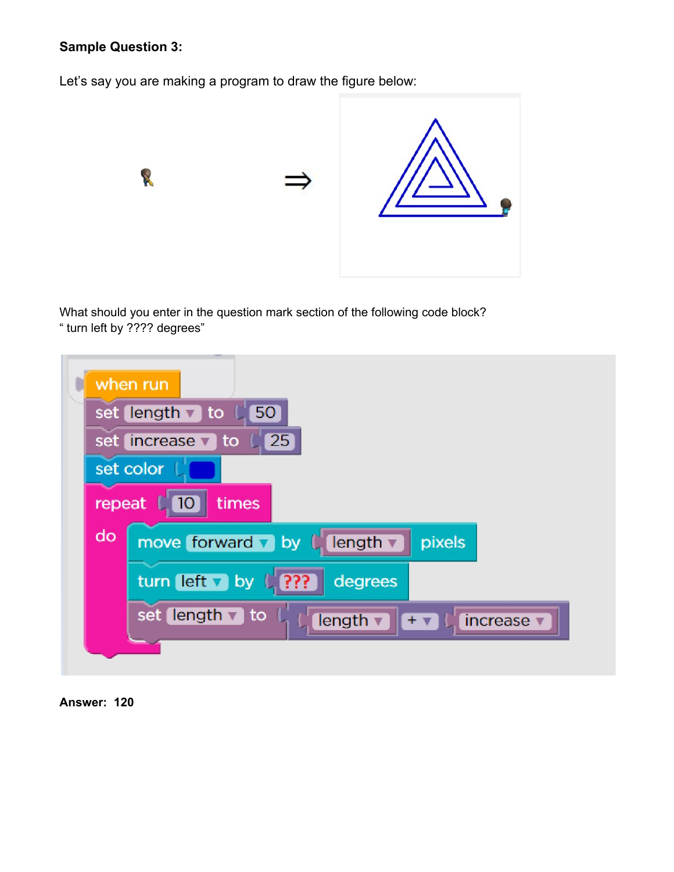# **Sample Question 3:**

Let's say you are making a program to draw the figure below:



What should you enter in the question mark section of the following code block? " turn left by ???? degrees"



**Answer: 120**